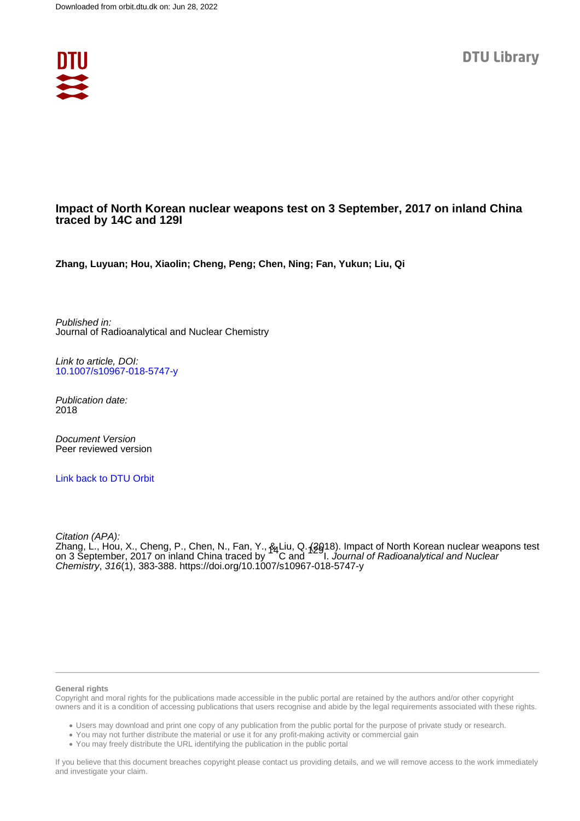

#### **Impact of North Korean nuclear weapons test on 3 September, 2017 on inland China traced by 14C and 129I**

**Zhang, Luyuan; Hou, Xiaolin; Cheng, Peng; Chen, Ning; Fan, Yukun; Liu, Qi**

Published in: Journal of Radioanalytical and Nuclear Chemistry

Link to article, DOI: [10.1007/s10967-018-5747-y](https://doi.org/10.1007/s10967-018-5747-y)

Publication date: 2018

Document Version Peer reviewed version

[Link back to DTU Orbit](https://orbit.dtu.dk/en/publications/c0b66c3e-c563-4abc-8da2-a0f8997986ae)

Citation (APA):

Zhang, L., Hou, X., Cheng, P., Chen, N., Fan, Y., & Liu, Q. (2018). Impact of North Korean nuclear weapons test<br>on 3 September, 2017 on inland China traced by C and I. *Journal of Radioanalytical and Nuclear* Chemistry, 316(1), 383-388.<https://doi.org/10.1007/s10967-018-5747-y>

#### **General rights**

Copyright and moral rights for the publications made accessible in the public portal are retained by the authors and/or other copyright owners and it is a condition of accessing publications that users recognise and abide by the legal requirements associated with these rights.

Users may download and print one copy of any publication from the public portal for the purpose of private study or research.

- You may not further distribute the material or use it for any profit-making activity or commercial gain
- You may freely distribute the URL identifying the publication in the public portal

If you believe that this document breaches copyright please contact us providing details, and we will remove access to the work immediately and investigate your claim.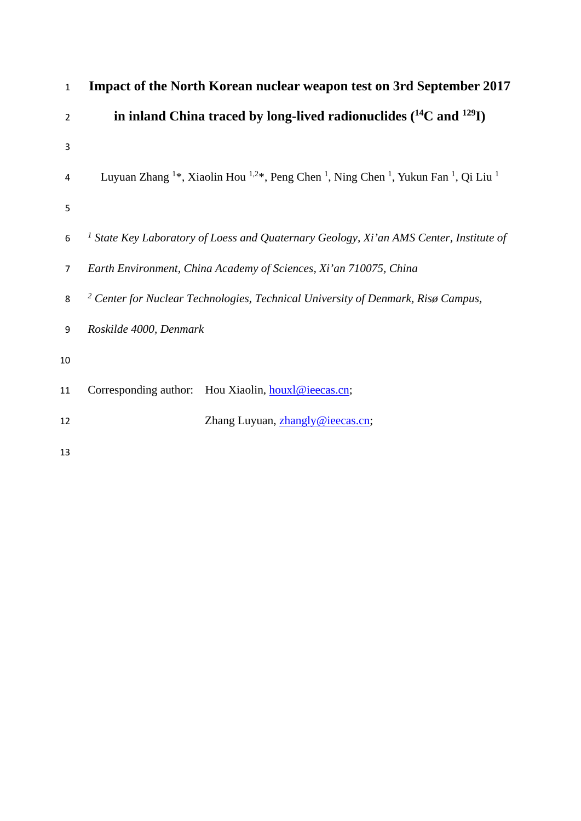| $\mathbf{1}$   | Impact of the North Korean nuclear weapon test on 3rd September 2017                                                                                      |
|----------------|-----------------------------------------------------------------------------------------------------------------------------------------------------------|
| $\overline{2}$ | in inland China traced by long-lived radionuclides $(^{14}C$ and $^{129}I)$                                                                               |
| 3              |                                                                                                                                                           |
| 4              | Luyuan Zhang <sup>1*</sup> , Xiaolin Hou <sup>1,2*</sup> , Peng Chen <sup>1</sup> , Ning Chen <sup>1</sup> , Yukun Fan <sup>1</sup> , Qi Liu <sup>1</sup> |
| 5              |                                                                                                                                                           |
| 6              | <sup>1</sup> State Key Laboratory of Loess and Quaternary Geology, Xi'an AMS Center, Institute of                                                         |
| $\overline{7}$ | Earth Environment, China Academy of Sciences, Xi'an 710075, China                                                                                         |
| 8              | <sup>2</sup> Center for Nuclear Technologies, Technical University of Denmark, Risø Campus,                                                               |
| 9              | Roskilde 4000, Denmark                                                                                                                                    |
| 10             |                                                                                                                                                           |
| 11             | Corresponding author:<br>Hou Xiaolin, houxl@ieecas.cn;                                                                                                    |
| 12             | Zhang Luyuan, zhangly@ieecas.cn;                                                                                                                          |
| 13             |                                                                                                                                                           |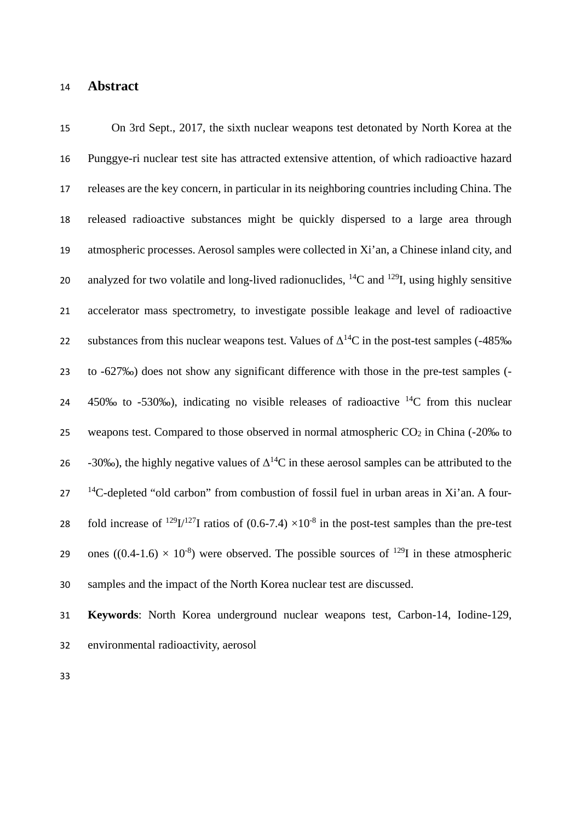#### **Abstract**

 On 3rd Sept., 2017, the sixth nuclear weapons test detonated by North Korea at the Punggye-ri nuclear test site has attracted extensive attention, of which radioactive hazard releases are the key concern, in particular in its neighboring countries including China. The released radioactive substances might be quickly dispersed to a large area through atmospheric processes. Aerosol samples were collected in Xi'an, a Chinese inland city, and 20 analyzed for two volatile and long-lived radionuclides,  ${}^{14}C$  and  ${}^{129}I$ , using highly sensitive accelerator mass spectrometry, to investigate possible leakage and level of radioactive 22 substances from this nuclear weapons test. Values of  $\Delta^{14}$ C in the post-test samples (-485‰ to -627‰) does not show any significant difference with those in the pre-test samples (-  $\,$  450‰ to -530‰), indicating no visible releases of radioactive  $\rm ^{14}C$  from this nuclear 25 weapons test. Compared to those observed in normal atmospheric  $CO<sub>2</sub>$  in China (-20‰ to  $-30\%$ , the highly negative values of  $\Delta^{14}$ C in these aerosol samples can be attributed to the <sup>14</sup> 2-depleted "old carbon" from combustion of fossil fuel in urban areas in Xi'an. A four-28 fold increase of <sup>129</sup>I/<sup>127</sup>I ratios of (0.6-7.4)  $\times$ 10<sup>-8</sup> in the post-test samples than the pre-test 29 ones ((0.4-1.6)  $\times$  10<sup>-8</sup>) were observed. The possible sources of <sup>129</sup>I in these atmospheric samples and the impact of the North Korea nuclear test are discussed.

 **Keywords**: North Korea underground nuclear weapons test, Carbon-14, Iodine-129, environmental radioactivity, aerosol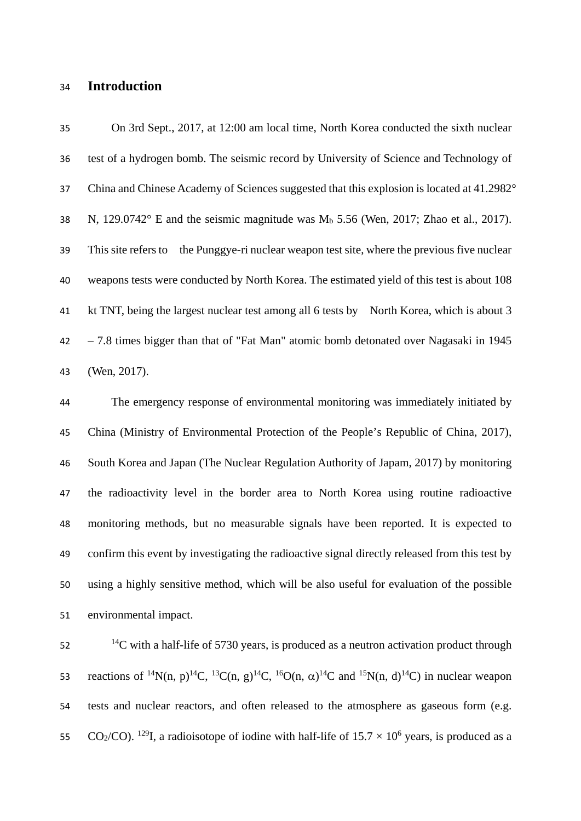### **Introduction**

 On 3rd Sept., 2017, at 12:00 am local time, North Korea conducted the sixth nuclear test of a hydrogen bomb. The seismic record by University of Science and Technology of China and Chinese Academy of Sciences suggested that this explosion is located at 41.2982° 38 N,  $129.0742^{\circ}$  E and the seismic magnitude was  $M_b$  5.56 (Wen, 2017; Zhao et al., 2017). This site refers to the Punggye-ri nuclear weapon test site, where the previous five nuclear weapons tests were conducted by North Korea. The estimated yield of this test is about 108 kt TNT, being the largest nuclear test among all 6 tests by North Korea, which is about 3 – 7.8 times bigger than that of "Fat Man" atomic bomb detonated over Nagasaki in 1945 (Wen, 2017).

 The emergency response of environmental monitoring was immediately initiated by China (Ministry of Environmental Protection of the People's Republic of China, 2017), South Korea and Japan (The Nuclear Regulation Authority of Japam, 2017) by monitoring the radioactivity level in the border area to North Korea using routine radioactive monitoring methods, but no measurable signals have been reported. It is expected to confirm this event by investigating the radioactive signal directly released from this test by using a highly sensitive method, which will be also useful for evaluation of the possible environmental impact.

C with a half-life of 5730 years, is produced as a neutron activation product through 53 reactions of <sup>14</sup>N(n, p)<sup>14</sup>C, <sup>13</sup>C(n, g)<sup>14</sup>C, <sup>16</sup>O(n,  $\alpha$ )<sup>14</sup>C and <sup>15</sup>N(n, d)<sup>14</sup>C) in nuclear weapon tests and nuclear reactors, and often released to the atmosphere as gaseous form (e.g. 55 CO<sub>2</sub>/CO). <sup>129</sup>I, a radioisotope of iodine with half-life of  $15.7 \times 10^6$  years, is produced as a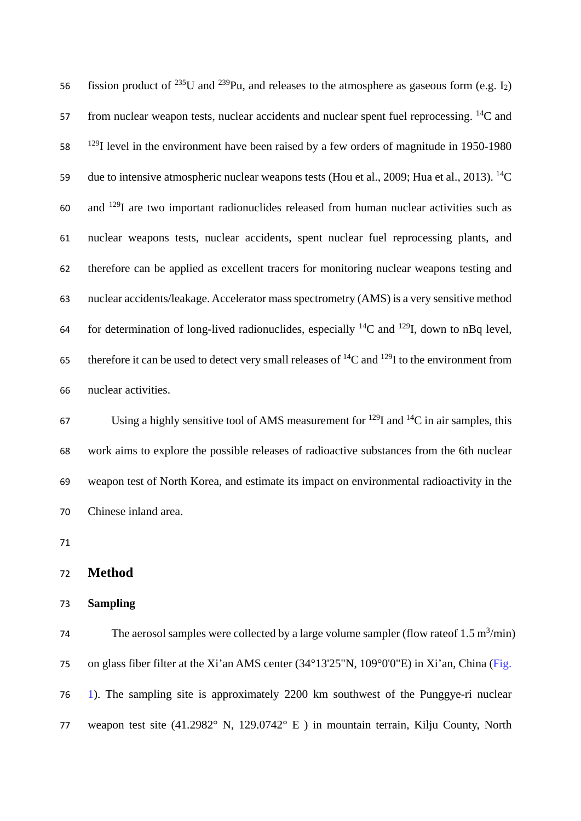56 fission product of <sup>235</sup>U and <sup>239</sup>Pu, and releases to the atmosphere as gaseous form (e.g. I<sub>2</sub>) from nuclear weapon tests, nuclear accidents and nuclear spent fuel reprocessing.  ${}^{14}C$  and level in the environment have been raised by a few orders of magnitude in 1950-1980 59 due to intensive atmospheric nuclear weapons tests (Hou et al., 2009; Hua et al., 2013). <sup>14</sup>C and <sup>129</sup>I are two important radionuclides released from human nuclear activities such as nuclear weapons tests, nuclear accidents, spent nuclear fuel reprocessing plants, and therefore can be applied as excellent tracers for monitoring nuclear weapons testing and nuclear accidents/leakage. Accelerator mass spectrometry (AMS) is a very sensitive method 64 for determination of long-lived radionuclides, especially <sup>14</sup>C and <sup>129</sup>I, down to nBq level, 65 therefore it can be used to detect very small releases of  ${}^{14}C$  and  ${}^{129}I$  to the environment from nuclear activities.

67 Using a highly sensitive tool of AMS measurement for  $^{129}$ I and  $^{14}$ C in air samples, this work aims to explore the possible releases of radioactive substances from the 6th nuclear weapon test of North Korea, and estimate its impact on environmental radioactivity in the Chinese inland area.

| 72 | <b>Method</b> |  |
|----|---------------|--|
|    |               |  |

#### **Sampling**

The aerosol samples were collected by a large volume sampler (flow rate of 1.5 m<sup>3</sup>/min) on glass fiber filter at the Xi'an AMS center (34°13'25"N, 109°0'0"E) in Xi'an, China (Fig. 1). The sampling site is approximately 2200 km southwest of the Punggye-ri nuclear weapon test site (41.2982° N, 129.0742° E ) in mountain terrain, Kilju County, North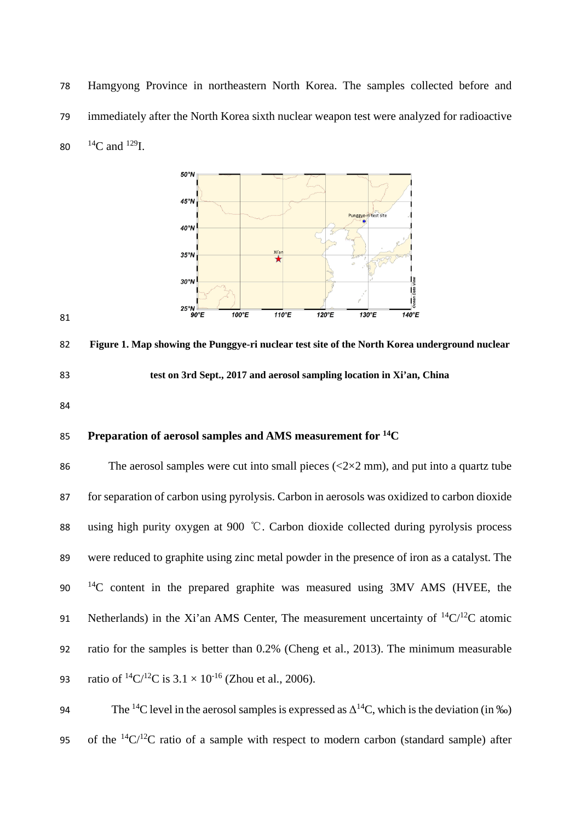Hamgyong Province in northeastern North Korea. The samples collected before and immediately after the North Korea sixth nuclear weapon test were analyzed for radioactive 80  $^{14}$ C and  $^{129}$ I.



 **Figure 1. Map showing the Punggye-ri nuclear test site of the North Korea underground nuclear test on 3rd Sept., 2017 and aerosol sampling location in Xi'an, China**

### **Preparation of aerosol samples and AMS measurement for 14C**

86 The aerosol samples were cut into small pieces  $\left(\frac{\langle 2 \times 2 \rangle}{\langle 2 \times 2 \rangle} \right)$  and put into a quartz tube for separation of carbon using pyrolysis. Carbon in aerosols was oxidized to carbon dioxide using high purity oxygen at 900 ℃. Carbon dioxide collected during pyrolysis process were reduced to graphite using zinc metal powder in the presence of iron as a catalyst. The  $14^{\circ}$  exponent in the prepared graphite was measured using 3MV AMS (HVEE, the 91 Netherlands) in the Xi'an AMS Center, The measurement uncertainty of  ${}^{14}C/{}^{12}C$  atomic ratio for the samples is better than 0.2% (Cheng et al., 2013). The minimum measurable 93 ratio of  ${}^{14}C/{}^{12}C$  is  $3.1 \times 10^{-16}$  (Zhou et al., 2006).

94 The <sup>14</sup>C level in the aerosol samples is expressed as  $\Delta^{14}$ C, which is the deviation (in ‰) 95 of the  ${}^{14}C/{}^{12}C$  ratio of a sample with respect to modern carbon (standard sample) after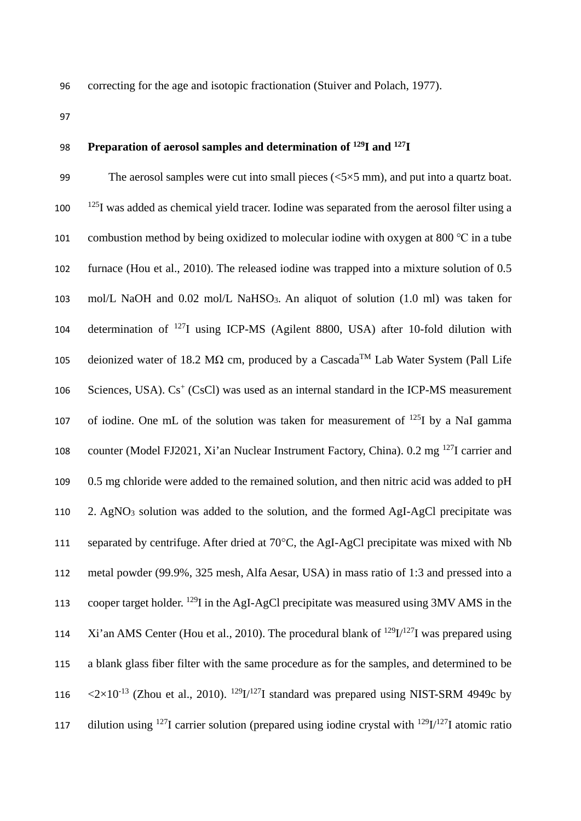96 correcting for the age and isotopic fractionation (Stuiver and Polach, 1977).

97

## 98 **Preparation of aerosol samples and determination of <sup>129</sup>I and <sup>127</sup>I**

99 The aerosol samples were cut into small pieces  $\langle 5 \times 5 \text{ mm} \rangle$ , and put into a quartz boat.  $100$  <sup>125</sup>I was added as chemical yield tracer. Iodine was separated from the aerosol filter using a 101 combustion method by being oxidized to molecular iodine with oxygen at 800 ℃ in a tube 102 furnace (Hou et al., 2010). The released iodine was trapped into a mixture solution of 0.5 103 mol/L NaOH and 0.02 mol/L NaHSO3. An aliquot of solution (1.0 ml) was taken for 104 determination of  $^{127}I$  using ICP-MS (Agilent 8800, USA) after 10-fold dilution with  $105$  deionized water of 18.2 MΩ cm, produced by a Cascada<sup>TM</sup> Lab Water System (Pall Life 106 Sciences, USA).  $Cs^+$  (CsCl) was used as an internal standard in the ICP-MS measurement 107 of iodine. One mL of the solution was taken for measurement of  $^{125}I$  by a NaI gamma 108 counter (Model FJ2021, Xi'an Nuclear Instrument Factory, China).  $0.2 \text{ mg}^{127}$ I carrier and 109 0.5 mg chloride were added to the remained solution, and then nitric acid was added to pH 110 2. AgNO3 solution was added to the solution, and the formed AgI-AgCl precipitate was 111 separated by centrifuge. After dried at 70°C, the AgI-AgCl precipitate was mixed with Nb 112 metal powder (99.9%, 325 mesh, Alfa Aesar, USA) in mass ratio of 1:3 and pressed into a 113 cooper target holder. <sup>129</sup>I in the AgI-AgCl precipitate was measured using  $3MV$  AMS in the 114 Xi'an AMS Center (Hou et al., 2010). The procedural blank of  $^{129}I/^{127}I$  was prepared using 115 a blank glass fiber filter with the same procedure as for the samples, and determined to be 116  $\langle 2 \times 10^{-13}$  (Zhou et al., 2010). <sup>129</sup>I/<sup>127</sup>I standard was prepared using NIST-SRM 4949c by 117 dilution using <sup>127</sup>I carrier solution (prepared using iodine crystal with <sup>129</sup>I/<sup>127</sup>I atomic ratio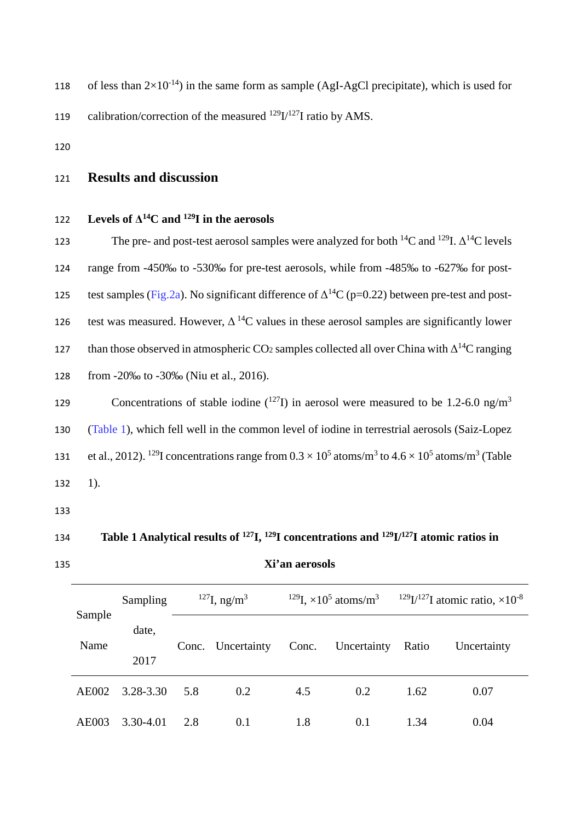- 118 of less than  $2\times10^{-14}$  in the same form as sample (AgI-AgCl precipitate), which is used for 119 calibration/correction of the measured  $^{129}I^{127}I$  ratio by AMS.
- 120

# 121 **Results and discussion**

### **Levels of**  $\Delta^{14}C$  **and <sup>129</sup>I in the aerosols**

123 The pre- and post-test aerosol samples were analyzed for both  ${}^{14}C$  and  ${}^{129}I$ .  $\Delta {}^{14}C$  levels 124 range from -450‰ to -530‰ for pre-test aerosols, while from -485‰ to -627‰ for posttest samples (Fig.2a). No significant difference of  $\Delta^{14}C$  (p=0.22) between pre-test and post-126 test was measured. However,  $\Delta^{14}$ C values in these aerosol samples are significantly lower than those observed in atmospheric  $CO_2$  samples collected all over China with  $\Delta^{14}C$  ranging 128 from -20‰ to -30‰ (Niu et al., 2016).

Concentrations of stable iodine  $(127)$  in aerosol were measured to be 1.2-6.0 ng/m<sup>3</sup> 130 (Table 1), which fell well in the common level of iodine in terrestrial aerosols (Saiz-Lopez 131 et al., 2012). <sup>129</sup>I concentrations range from  $0.3 \times 10^5$  atoms/m<sup>3</sup> to  $4.6 \times 10^5$  atoms/m<sup>3</sup> (Table 132 1).

133

# 134 **Table 1 Analytical results of <sup>127</sup>I**, <sup>129</sup>**I** concentrations and <sup>129</sup>**I**/<sup>127</sup>**I** atomic ratios in

#### 135 **Xi'an aerosols**

|              | Sampling  | $127$ I, ng/m <sup>3</sup> |                   | <sup>129</sup> I, $\times$ 10 <sup>5</sup> atoms/m <sup>3</sup> |             | <sup>129</sup> I/ <sup>127</sup> I atomic ratio, $\times$ 10 <sup>-8</sup> |             |  |
|--------------|-----------|----------------------------|-------------------|-----------------------------------------------------------------|-------------|----------------------------------------------------------------------------|-------------|--|
| Sample       | date,     |                            |                   |                                                                 |             |                                                                            |             |  |
| Name         | 2017      |                            | Conc. Uncertainty | Conc.                                                           | Uncertainty | Ratio                                                                      | Uncertainty |  |
| <b>AE002</b> | 3.28-3.30 | 5.8                        | 0.2               | 4.5                                                             | 0.2         | 1.62                                                                       | 0.07        |  |
| AE003        | 3.30-4.01 | 2.8                        | 0.1               | 1.8                                                             | 0.1         | 1.34                                                                       | 0.04        |  |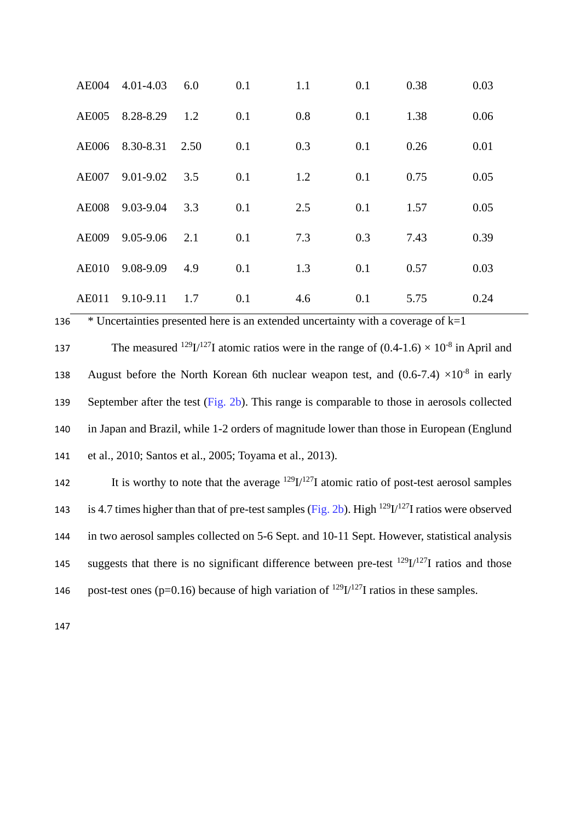| <b>AE004</b> | 4.01-4.03     | 6.0  | 0.1 | 1.1 | 0.1 | 0.38 | 0.03 |
|--------------|---------------|------|-----|-----|-----|------|------|
| <b>AE005</b> | 8.28-8.29     | 1.2  | 0.1 | 0.8 | 0.1 | 1.38 | 0.06 |
| <b>AE006</b> | 8.30-8.31     | 2.50 | 0.1 | 0.3 | 0.1 | 0.26 | 0.01 |
| <b>AE007</b> | $9.01 - 9.02$ | 3.5  | 0.1 | 1.2 | 0.1 | 0.75 | 0.05 |
| <b>AE008</b> | 9.03-9.04     | 3.3  | 0.1 | 2.5 | 0.1 | 1.57 | 0.05 |
| <b>AE009</b> | 9.05-9.06     | 2.1  | 0.1 | 7.3 | 0.3 | 7.43 | 0.39 |
| <b>AE010</b> | 9.08-9.09     | 4.9  | 0.1 | 1.3 | 0.1 | 0.57 | 0.03 |
| <b>AE011</b> | 9.10-9.11     | 1.7  | 0.1 | 4.6 | 0.1 | 5.75 | 0.24 |

137 The measured <sup>129</sup>I/<sup>127</sup>I atomic ratios were in the range of  $(0.4\t{-}1.6) \times 10^{-8}$  in April and 138 August before the North Korean 6th nuclear weapon test, and  $(0.6-7.4) \times 10^{-8}$  in early 139 September after the test (Fig. 2b). This range is comparable to those in aerosols collected 140 in Japan and Brazil, while 1-2 orders of magnitude lower than those in European (Englund 141 et al., 2010; Santos et al., 2005; Toyama et al., 2013).

136  $*$  Uncertainties presented here is an extended uncertainty with a coverage of  $k=1$ 

142 It is worthy to note that the average  $129I/127I$  atomic ratio of post-test aerosol samples 143 is 4.7 times higher than that of pre-test samples (Fig. 2b). High  $^{129}I^{127}I$  ratios were observed 144 in two aerosol samples collected on 5-6 Sept. and 10-11 Sept. However, statistical analysis suggests that there is no significant difference between pre-test  $^{129}I^{127}I$  ratios and those 146 post-test ones (p=0.16) because of high variation of  $^{129}I^{127}I$  ratios in these samples.

147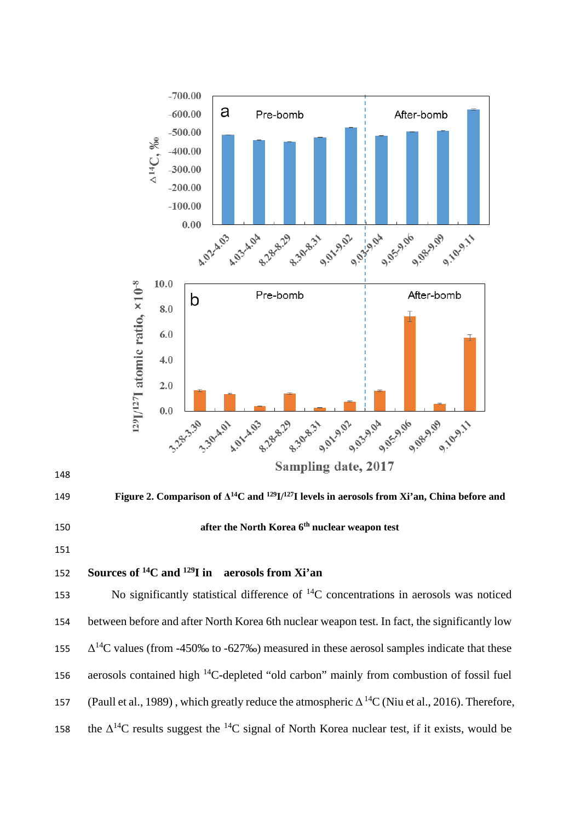

151

148

# **Sources of 14C and 129** 152 **I in aerosols from Xi'an**

153 No significantly statistical difference of  ${}^{14}C$  concentrations in aerosols was noticed 154 between before and after North Korea 6th nuclear weapon test. In fact, the significantly low  $\Delta^{14}$ C values (from -450‰ to -627‰) measured in these aerosol samples indicate that these 156 aerosols contained high  ${}^{14}C$ -depleted "old carbon" mainly from combustion of fossil fuel 157 (Paull et al., 1989), which greatly reduce the atmospheric  $\Delta^{14}C$  (Niu et al., 2016). Therefore, the  $\Delta^{14}$ C results suggest the <sup>14</sup>C signal of North Korea nuclear test, if it exists, would be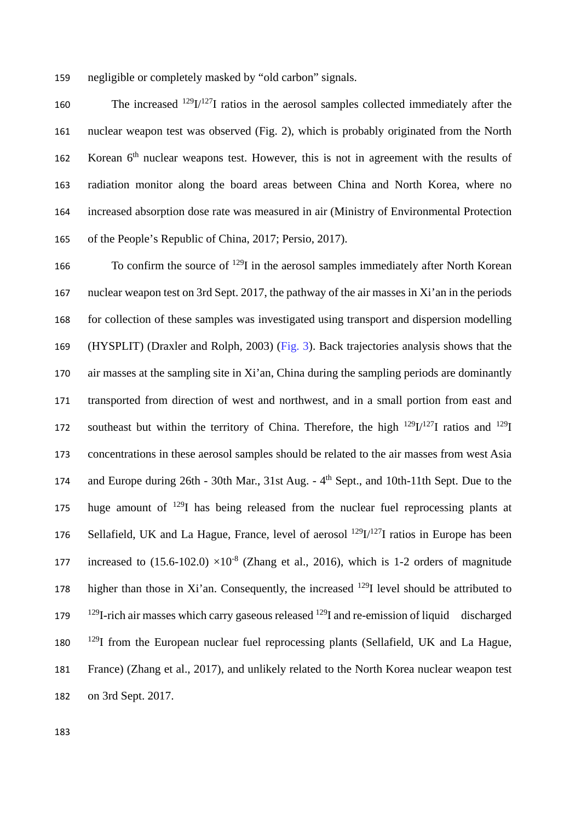159 negligible or completely masked by "old carbon" signals.

160 The increased  $^{129}I/^{127}I$  ratios in the aerosol samples collected immediately after the nuclear weapon test was observed (Fig. 2), which is probably originated from the North 162 Korean  $6<sup>th</sup>$  nuclear weapons test. However, this is not in agreement with the results of radiation monitor along the board areas between China and North Korea, where no increased absorption dose rate was measured in air (Ministry of Environmental Protection of the People's Republic of China, 2017; Persio, 2017).

166 To confirm the source of  $^{129}I$  in the aerosol samples immediately after North Korean 167 nuclear weapon test on 3rd Sept. 2017, the pathway of the air masses in Xi'an in the periods 168 for collection of these samples was investigated using transport and dispersion modelling 169 (HYSPLIT) (Draxler and Rolph, 2003) (Fig. 3). Back trajectories analysis shows that the 170 air masses at the sampling site in Xi'an, China during the sampling periods are dominantly 171 transported from direction of west and northwest, and in a small portion from east and 172 southeast but within the territory of China. Therefore, the high  $^{129}I^{127}I$  ratios and  $^{129}I$ 173 concentrations in these aerosol samples should be related to the air masses from west Asia and Europe during 26th - 30th Mar., 31st Aug. - 4<sup>th</sup> Sept., and 10th-11th Sept. Due to the 175 huge amount of  $129$ I has being released from the nuclear fuel reprocessing plants at 176 Sellafield, UK and La Hague, France, level of aerosol  $^{129}I^{127}I$  ratios in Europe has been increased to  $(15.6-102.0) \times 10^{-8}$  (Zhang et al., 2016), which is 1-2 orders of magnitude 178 higher than those in Xi'an. Consequently, the increased  $^{129}I$  level should be attributed to 179  $^{129}$ I-rich air masses which carry gaseous released  $^{129}$ I and re-emission of liquid discharged 180 <sup>129</sup>I from the European nuclear fuel reprocessing plants (Sellafield, UK and La Hague, 181 France) (Zhang et al., 2017), and unlikely related to the North Korea nuclear weapon test 182 on 3rd Sept. 2017.

183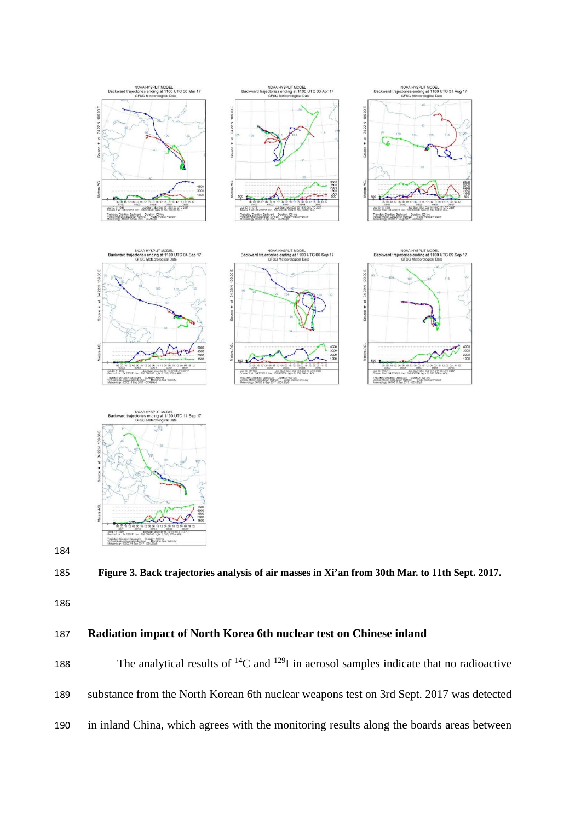



**Figure 3. Back trajectories analysis of air masses in Xi'an from 30th Mar. to 11th Sept. 2017.**

### **Radiation impact of North Korea 6th nuclear test on Chinese inland**

188 The analytical results of  ${}^{14}C$  and  ${}^{129}I$  in aerosol samples indicate that no radioactive substance from the North Korean 6th nuclear weapons test on 3rd Sept. 2017 was detected in inland China, which agrees with the monitoring results along the boards areas between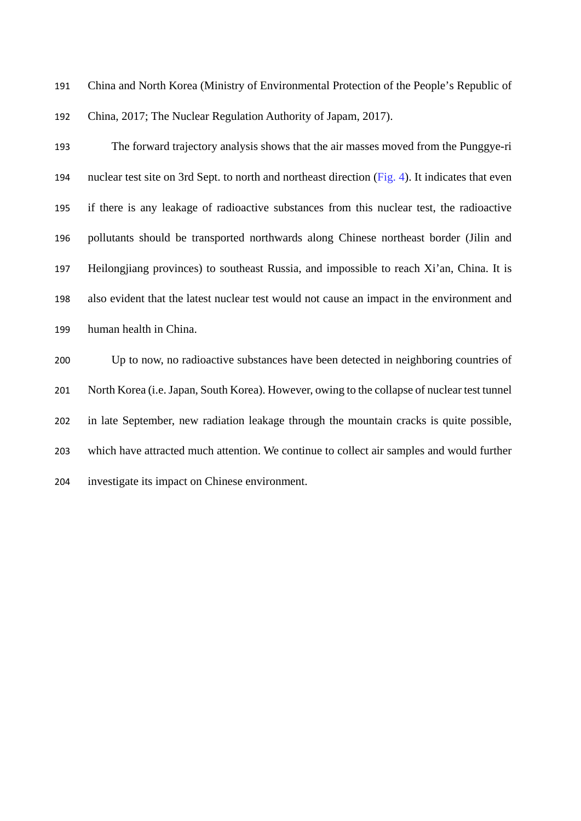China and North Korea (Ministry of Environmental Protection of the People's Republic of China, 2017; The Nuclear Regulation Authority of Japam, 2017).

 The forward trajectory analysis shows that the air masses moved from the Punggye-ri nuclear test site on 3rd Sept. to north and northeast direction (Fig. 4). It indicates that even if there is any leakage of radioactive substances from this nuclear test, the radioactive pollutants should be transported northwards along Chinese northeast border (Jilin and Heilongjiang provinces) to southeast Russia, and impossible to reach Xi'an, China. It is also evident that the latest nuclear test would not cause an impact in the environment and human health in China.

 Up to now, no radioactive substances have been detected in neighboring countries of North Korea (i.e. Japan, South Korea). However, owing to the collapse of nuclear test tunnel in late September, new radiation leakage through the mountain cracks is quite possible, which have attracted much attention. We continue to collect air samples and would further investigate its impact on Chinese environment.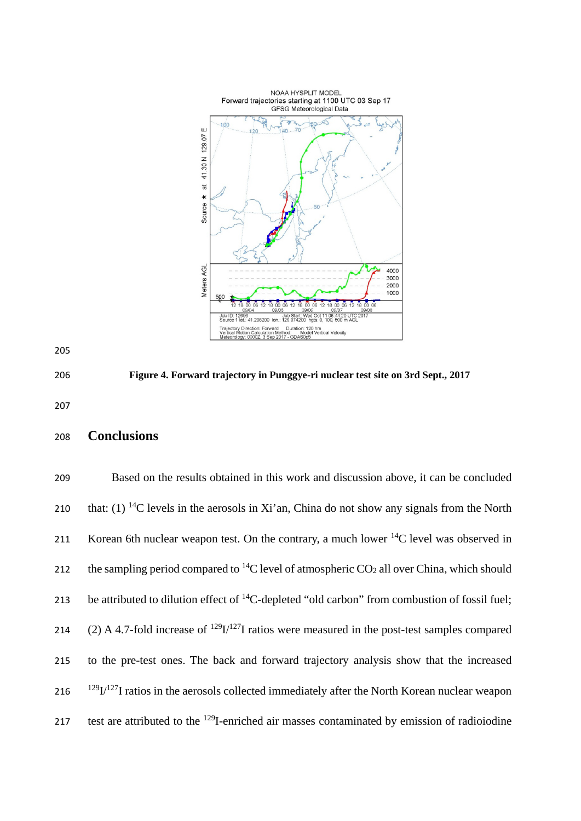



**Figure 4. Forward trajectory in Punggye-ri nuclear test site on 3rd Sept., 2017**

# **Conclusions**

| 209 | Based on the results obtained in this work and discussion above, it can be concluded                      |
|-----|-----------------------------------------------------------------------------------------------------------|
| 210 | that: (1) <sup>14</sup> C levels in the aerosols in Xi'an, China do not show any signals from the North   |
| 211 | Korean 6th nuclear weapon test. On the contrary, a much lower $^{14}$ C level was observed in             |
| 212 | the sampling period compared to <sup>14</sup> C level of atmospheric $CO2$ all over China, which should   |
| 213 | be attributed to dilution effect of <sup>14</sup> C-depleted "old carbon" from combustion of fossil fuel; |
| 214 | (2) A 4.7-fold increase of $^{129}I/^{127}I$ ratios were measured in the post-test samples compared       |
| 215 | to the pre-test ones. The back and forward trajectory analysis show that the increased                    |
| 216 | $129$ I/ $127$ I ratios in the aerosols collected immediately after the North Korean nuclear weapon       |
| 217 | test are attributed to the <sup>129</sup> I-enriched air masses contaminated by emission of radioiodine   |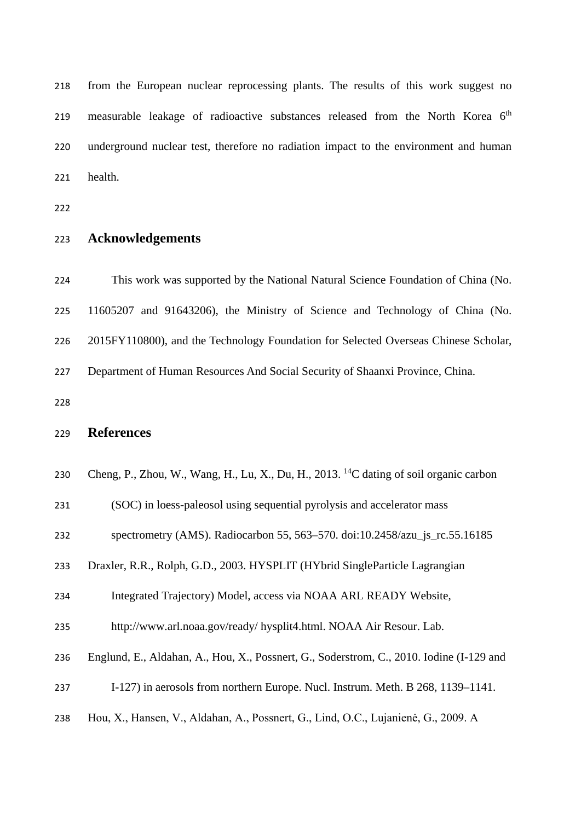from the European nuclear reprocessing plants. The results of this work suggest no 219 measurable leakage of radioactive substances released from the North Korea  $6<sup>th</sup>$  underground nuclear test, therefore no radiation impact to the environment and human health.

### **Acknowledgements**

 This work was supported by the National Natural Science Foundation of China (No. 11605207 and 91643206), the Ministry of Science and Technology of China (No. 2015FY110800), and the Technology Foundation for Selected Overseas Chinese Scholar, Department of Human Resources And Social Security of Shaanxi Province, China. 

## **References**

| 230 Cheng, P., Zhou, W., Wang, H., Lu, X., Du, H., 2013. <sup>14</sup> C dating of soil organic carbon |  |  |  |  |  |
|--------------------------------------------------------------------------------------------------------|--|--|--|--|--|
|                                                                                                        |  |  |  |  |  |

(SOC) in loess-paleosol using sequential pyrolysis and accelerator mass

- spectrometry (AMS). Radiocarbon 55, 563–570. doi:10.2458/azu\_js\_rc.55.16185
- Draxler, R.R., Rolph, G.D., 2003. HYSPLIT (HYbrid SingleParticle Lagrangian

Integrated Trajectory) Model, access via NOAA ARL READY Website,

- http://www.arl.noaa.gov/ready/ hysplit4.html. NOAA Air Resour. Lab.
- Englund, E., Aldahan, A., Hou, X., Possnert, G., Soderstrom, C., 2010. Iodine (I-129 and
- I-127) in aerosols from northern Europe. Nucl. Instrum. Meth. B 268, 1139–1141.
- Hou, X., Hansen, V., Aldahan, A., Possnert, G., Lind, O.C., Lujanienė, G., 2009. A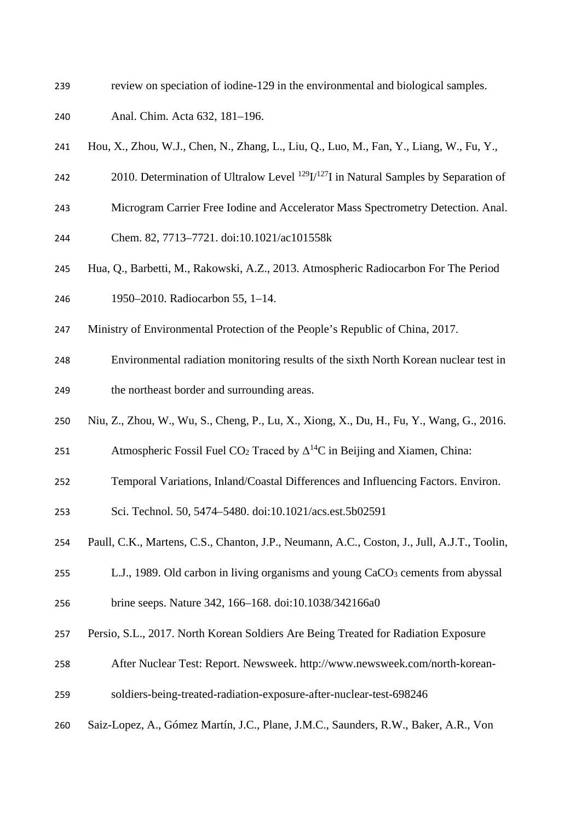- review on speciation of iodine-129 in the environmental and biological samples.
- Anal. Chim. Acta 632, 181–196.
- Hou, X., Zhou, W.J., Chen, N., Zhang, L., Liu, Q., Luo, M., Fan, Y., Liang, W., Fu, Y.,
- 242 2010. Determination of Ultralow Level  $^{129}I^{127}I$  in Natural Samples by Separation of
- Microgram Carrier Free Iodine and Accelerator Mass Spectrometry Detection. Anal.
- Chem. 82, 7713–7721. doi:10.1021/ac101558k
- Hua, Q., Barbetti, M., Rakowski, A.Z., 2013. Atmospheric Radiocarbon For The Period 1950–2010. Radiocarbon 55, 1–14.
- Ministry of Environmental Protection of the People's Republic of China, 2017.
- Environmental radiation monitoring results of the sixth North Korean nuclear test in the northeast border and surrounding areas.
- Niu, Z., Zhou, W., Wu, S., Cheng, P., Lu, X., Xiong, X., Du, H., Fu, Y., Wang, G., 2016.
- 251 Atmospheric Fossil Fuel CO<sub>2</sub> Traced by  $\Delta^{14}$ C in Beijing and Xiamen, China:
- Temporal Variations, Inland/Coastal Differences and Influencing Factors. Environ.
- Sci. Technol. 50, 5474–5480. doi:10.1021/acs.est.5b02591
- Paull, C.K., Martens, C.S., Chanton, J.P., Neumann, A.C., Coston, J., Jull, A.J.T., Toolin,
- 255 L.J., 1989. Old carbon in living organisms and young CaCO<sub>3</sub> cements from abyssal
- brine seeps. Nature 342, 166–168. doi:10.1038/342166a0
- Persio, S.L., 2017. North Korean Soldiers Are Being Treated for Radiation Exposure
- After Nuclear Test: Report. Newsweek. http://www.newsweek.com/north-korean-
- soldiers-being-treated-radiation-exposure-after-nuclear-test-698246
- Saiz-Lopez, A., Gómez Martín, J.C., Plane, J.M.C., Saunders, R.W., Baker, A.R., Von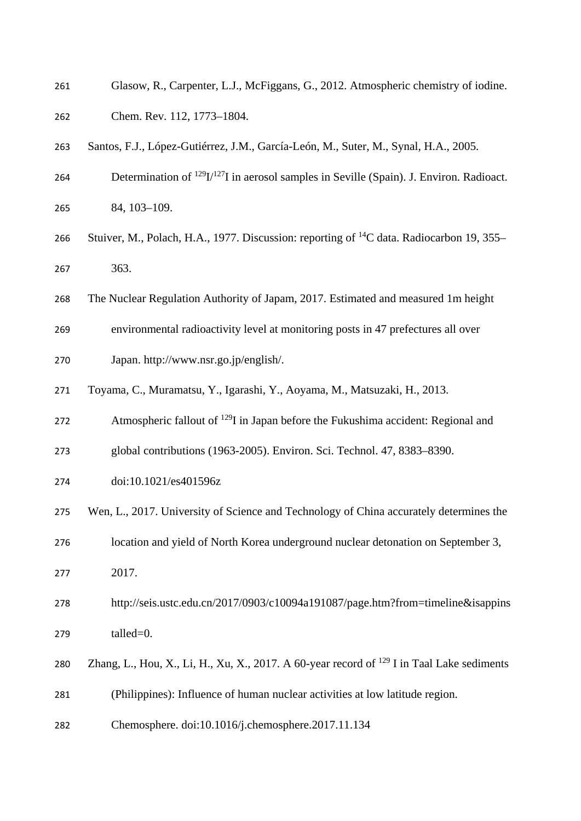| 261 | Glasow, R., Carpenter, L.J., McFiggans, G., 2012. Atmospheric chemistry of iodine.                   |
|-----|------------------------------------------------------------------------------------------------------|
| 262 | Chem. Rev. 112, 1773-1804.                                                                           |
| 263 | Santos, F.J., López-Gutiérrez, J.M., García-León, M., Suter, M., Synal, H.A., 2005.                  |
| 264 | Determination of $^{129}I/^{127}I$ in aerosol samples in Seville (Spain). J. Environ. Radioact.      |
| 265 | 84, 103-109.                                                                                         |
| 266 | Stuiver, M., Polach, H.A., 1977. Discussion: reporting of <sup>14</sup> C data. Radiocarbon 19, 355– |
| 267 | 363.                                                                                                 |
| 268 | The Nuclear Regulation Authority of Japam, 2017. Estimated and measured 1m height                    |
| 269 | environmental radioactivity level at monitoring posts in 47 prefectures all over                     |
| 270 | Japan. http://www.nsr.go.jp/english/.                                                                |
| 271 | Toyama, C., Muramatsu, Y., Igarashi, Y., Aoyama, M., Matsuzaki, H., 2013.                            |
| 272 | Atmospheric fallout of <sup>129</sup> I in Japan before the Fukushima accident: Regional and         |
| 273 | global contributions (1963-2005). Environ. Sci. Technol. 47, 8383-8390.                              |
| 274 | doi:10.1021/es401596z                                                                                |
| 275 | Wen, L., 2017. University of Science and Technology of China accurately determines the               |
| 276 | location and yield of North Korea underground nuclear detonation on September 3,                     |
| 277 | 2017.                                                                                                |
| 278 | http://seis.ustc.edu.cn/2017/0903/c10094a191087/page.htm?from=timeline&isappins                      |
| 279 | talled=0.                                                                                            |
| 280 | Zhang, L., Hou, X., Li, H., Xu, X., 2017. A 60-year record of $^{129}$ I in Taal Lake sediments      |
| 281 | (Philippines): Influence of human nuclear activities at low latitude region.                         |
| 282 | Chemosphere. doi:10.1016/j.chemosphere.2017.11.134                                                   |